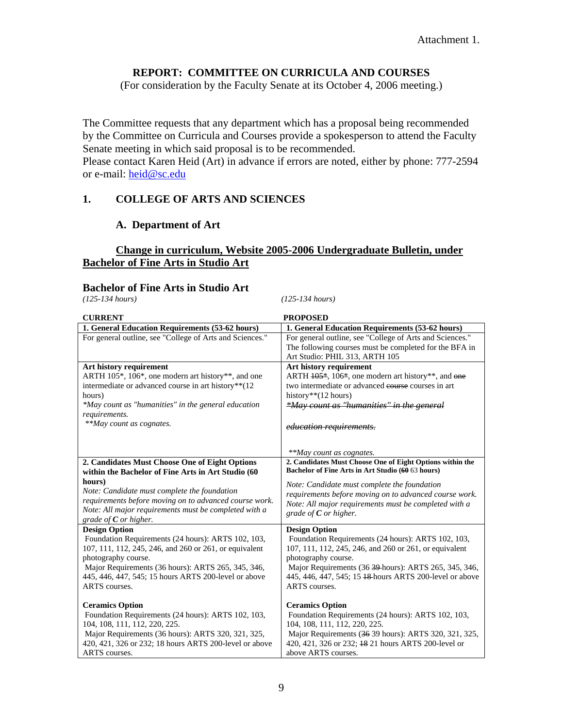## **REPORT: COMMITTEE ON CURRICULA AND COURSES**

(For consideration by the Faculty Senate at its October 4, 2006 meeting.)

The Committee requests that any department which has a proposal being recommended by the Committee on Curricula and Courses provide a spokesperson to attend the Faculty Senate meeting in which said proposal is to be recommended. Please contact Karen Heid (Art) in advance if errors are noted, either by phone: 777-2594

or e-mail: [heid@sc.edu](mailto:heid@sc.edu)

## **1. COLLEGE OF ARTS AND SCIENCES**

### **A. Department of Art**

## **Change in curriculum, Website 2005-2006 Undergraduate Bulletin, under Bachelor of Fine Arts in Studio Art**

## **Bachelor of Fine Arts in Studio Art** (125-134 hours)

*(125-134 hours) (125-134 hours)* 

| <b>CURRENT</b>                                                                                                                                                                                                                                                                                               | <b>PROPOSED</b>                                                                                                                                                                                                                                                                                              |
|--------------------------------------------------------------------------------------------------------------------------------------------------------------------------------------------------------------------------------------------------------------------------------------------------------------|--------------------------------------------------------------------------------------------------------------------------------------------------------------------------------------------------------------------------------------------------------------------------------------------------------------|
| 1. General Education Requirements (53-62 hours)                                                                                                                                                                                                                                                              | 1. General Education Requirements (53-62 hours)                                                                                                                                                                                                                                                              |
| For general outline, see "College of Arts and Sciences."                                                                                                                                                                                                                                                     | For general outline, see "College of Arts and Sciences."<br>The following courses must be completed for the BFA in<br>Art Studio: PHIL 313, ARTH 105                                                                                                                                                         |
| Art history requirement<br>ARTH 105*, 106*, one modern art history**, and one<br>intermediate or advanced course in art history**(12<br>hours)<br>*May count as "humanities" in the general education<br>requirements.<br>**May count as cognates.                                                           | Art history requirement<br>ARTH $105*$ , 106*, one modern art history**, and one<br>two intermediate or advanced courses in art<br>history** $(12 \text{ hours})$<br>*May count as "humanities" in the general<br><i>education requirements.</i>                                                             |
|                                                                                                                                                                                                                                                                                                              | **May count as cognates.                                                                                                                                                                                                                                                                                     |
| 2. Candidates Must Choose One of Eight Options<br>within the Bachelor of Fine Arts in Art Studio (60<br>hours)<br>Note: Candidate must complete the foundation<br>requirements before moving on to advanced course work.<br>Note: All major requirements must be completed with a<br>grade of $C$ or higher. | 2. Candidates Must Choose One of Eight Options within the<br>Bachelor of Fine Arts in Art Studio (60 63 hours)<br>Note: Candidate must complete the foundation<br>requirements before moving on to advanced course work.<br>Note: All major requirements must be completed with a<br>grade of $C$ or higher. |
| <b>Design Option</b><br>Foundation Requirements (24 hours): ARTS 102, 103,<br>107, 111, 112, 245, 246, and 260 or 261, or equivalent<br>photography course.<br>Major Requirements (36 hours): ARTS 265, 345, 346,<br>445, 446, 447, 545; 15 hours ARTS 200-level or above<br>ARTS courses.                   | <b>Design Option</b><br>Foundation Requirements (24 hours): ARTS 102, 103,<br>107, 111, 112, 245, 246, and 260 or 261, or equivalent<br>photography course.<br>Major Requirements (36 39 hours): ARTS 265, 345, 346,<br>445, 446, 447, 545; 15 <del>18</del> hours ARTS 200-level or above<br>ARTS courses.  |
| <b>Ceramics Option</b><br>Foundation Requirements (24 hours): ARTS 102, 103,<br>104, 108, 111, 112, 220, 225.<br>Major Requirements (36 hours): ARTS 320, 321, 325,<br>420, 421, 326 or 232; 18 hours ARTS 200-level or above<br>ARTS courses.                                                               | <b>Ceramics Option</b><br>Foundation Requirements (24 hours): ARTS 102, 103,<br>104, 108, 111, 112, 220, 225.<br>Major Requirements (36 39 hours): ARTS 320, 321, 325,<br>420, 421, 326 or 232; <del>18</del> 21 hours ARTS 200-level or<br>above ARTS courses.                                              |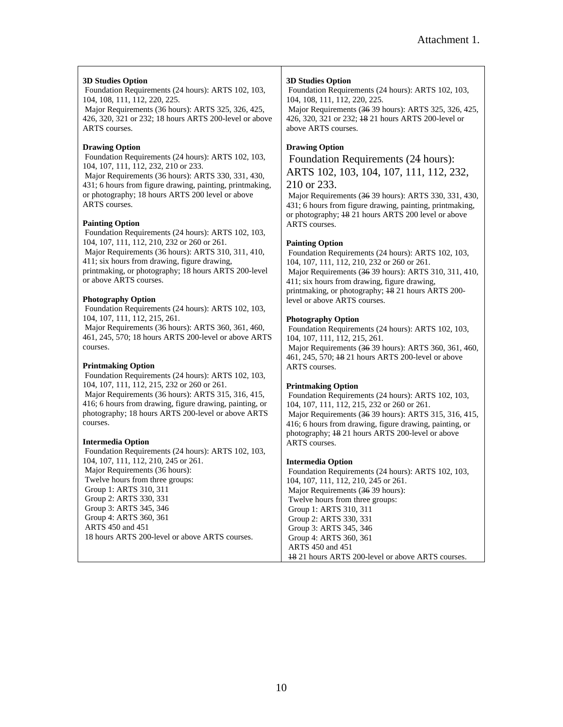#### **3D Studies Option**

 Foundation Requirements (24 hours): ARTS 102, 103, 104, 108, 111, 112, 220, 225.

 Major Requirements (36 hours): ARTS 325, 326, 425, 426, 320, 321 or 232; 18 hours ARTS 200-level or above ARTS courses.

#### **Drawing Option**

 Foundation Requirements (24 hours): ARTS 102, 103, 104, 107, 111, 112, 232, 210 or 233. Major Requirements (36 hours): ARTS 330, 331, 430,

431; 6 hours from figure drawing, painting, printmaking, or photography; 18 hours ARTS 200 level or above ARTS courses.

#### **Painting Option**

 Foundation Requirements (24 hours): ARTS 102, 103, 104, 107, 111, 112, 210, 232 or 260 or 261. Major Requirements (36 hours): ARTS 310, 311, 410, 411; six hours from drawing, figure drawing, printmaking, or photography; 18 hours ARTS 200-level

#### **Photography Option**

or above ARTS courses.

 Foundation Requirements (24 hours): ARTS 102, 103, 104, 107, 111, 112, 215, 261.

 Major Requirements (36 hours): ARTS 360, 361, 460, 461, 245, 570; 18 hours ARTS 200-level or above ARTS courses.

#### **Printmaking Option**

 Foundation Requirements (24 hours): ARTS 102, 103, 104, 107, 111, 112, 215, 232 or 260 or 261. Major Requirements (36 hours): ARTS 315, 316, 415, 416; 6 hours from drawing, figure drawing, painting, or photography; 18 hours ARTS 200-level or above ARTS courses.

#### **Intermedia Option**

 Foundation Requirements (24 hours): ARTS 102, 103, 104, 107, 111, 112, 210, 245 or 261. Major Requirements (36 hours): Twelve hours from three groups: Group 1: ARTS 310, 311 Group 2: ARTS 330, 331 Group 3: ARTS 345, 346 Group 4: ARTS 360, 361 ARTS 450 and 451 18 hours ARTS 200-level or above ARTS courses.

#### **3D Studies Option**

 Foundation Requirements (24 hours): ARTS 102, 103, 104, 108, 111, 112, 220, 225.

 Major Requirements (36 39 hours): ARTS 325, 326, 425, 426, 320, 321 or 232; 18 21 hours ARTS 200-level or above ARTS courses.

#### **Drawing Option**

 Foundation Requirements (24 hours): ARTS 102, 103, 104, 107, 111, 112, 232, 210 or 233.

 Major Requirements (36 39 hours): ARTS 330, 331, 430, 431; 6 hours from figure drawing, painting, printmaking, or photography; 18 21 hours ARTS 200 level or above ARTS courses.

#### **Painting Option**

 Foundation Requirements (24 hours): ARTS 102, 103, 104, 107, 111, 112, 210, 232 or 260 or 261. Major Requirements (36 39 hours): ARTS 310, 311, 410, 411; six hours from drawing, figure drawing, printmaking, or photography; 18 21 hours ARTS 200 level or above ARTS courses.

#### **Photography Option**

 Foundation Requirements (24 hours): ARTS 102, 103, 104, 107, 111, 112, 215, 261. Major Requirements (36 39 hours): ARTS 360, 361, 460, 461, 245, 570; 18 21 hours ARTS 200-level or above ARTS courses.

#### **Printmaking Option**

 Foundation Requirements (24 hours): ARTS 102, 103, 104, 107, 111, 112, 215, 232 or 260 or 261. Major Requirements (36 39 hours): ARTS 315, 316, 415, 416; 6 hours from drawing, figure drawing, painting, or photography; 18 21 hours ARTS 200-level or above ARTS courses.

#### **Intermedia Option**

 Foundation Requirements (24 hours): ARTS 102, 103, 104, 107, 111, 112, 210, 245 or 261. Major Requirements (36 39 hours): Twelve hours from three groups: Group 1: ARTS 310, 311 Group 2: ARTS 330, 331 Group 3: ARTS 345, 346 Group 4: ARTS 360, 361 ARTS 450 and 451 18 21 hours ARTS 200-level or above ARTS courses.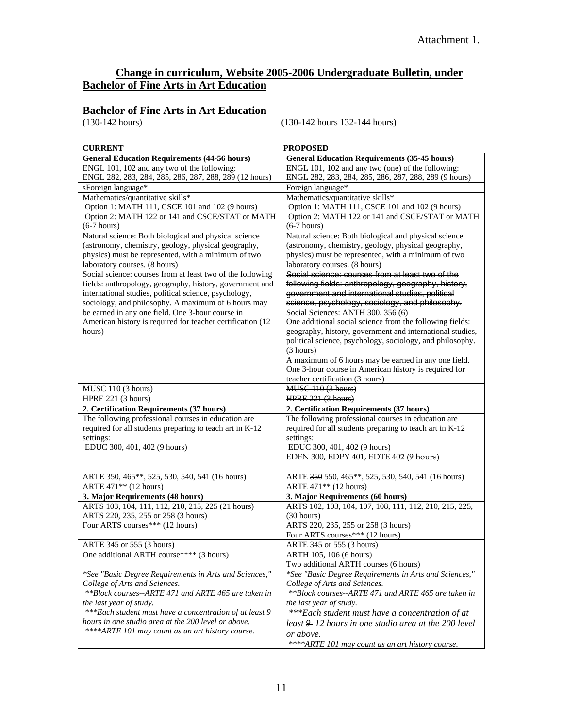## **Change in curriculum, Website 2005-2006 Undergraduate Bulletin, under Bachelor of Fine Arts in Art Education**

# **Bachelor of Fine Arts in Art Education** (130-142 hours)

(130-142 hours) (130-142 hours 132-144 hours)

| <b>CURRENT</b>                                             | <b>PROPOSED</b>                                                      |
|------------------------------------------------------------|----------------------------------------------------------------------|
| <b>General Education Requirements (44-56 hours)</b>        | <b>General Education Requirements (35-45 hours)</b>                  |
| ENGL 101, 102 and any two of the following:                | ENGL 101, 102 and any two (one) of the following:                    |
| ENGL 282, 283, 284, 285, 286, 287, 288, 289 (12 hours)     | ENGL 282, 283, 284, 285, 286, 287, 288, 289 (9 hours)                |
| sForeign language*                                         | Foreign language*                                                    |
| Mathematics/quantitative skills*                           | Mathematics/quantitative skills*                                     |
| Option 1: MATH 111, CSCE 101 and 102 (9 hours)             | Option 1: MATH 111, CSCE 101 and 102 (9 hours)                       |
| Option 2: MATH 122 or 141 and CSCE/STAT or MATH            | Option 2: MATH 122 or 141 and CSCE/STAT or MATH                      |
| $(6-7 hours)$                                              | $(6-7 hours)$                                                        |
| Natural science: Both biological and physical science      | Natural science: Both biological and physical science                |
| (astronomy, chemistry, geology, physical geography,        | (astronomy, chemistry, geology, physical geography,                  |
| physics) must be represented, with a minimum of two        | physics) must be represented, with a minimum of two                  |
| laboratory courses. (8 hours)                              | laboratory courses. (8 hours)                                        |
| Social science: courses from at least two of the following | Social science: courses from at least two of the                     |
| fields: anthropology, geography, history, government and   | following fields: anthropology, geography, history,                  |
| international studies, political science, psychology,      | government and international studies, political                      |
| sociology, and philosophy. A maximum of 6 hours may        | science, psychology, sociology, and philosophy.                      |
| be earned in any one field. One 3-hour course in           | Social Sciences: ANTH 300, 356 (6)                                   |
| American history is required for teacher certification (12 | One additional social science from the following fields:             |
| hours)                                                     | geography, history, government and international studies,            |
|                                                            | political science, psychology, sociology, and philosophy.            |
|                                                            | (3 hours)                                                            |
|                                                            | A maximum of 6 hours may be earned in any one field.                 |
|                                                            | One 3-hour course in American history is required for                |
|                                                            | teacher certification (3 hours)                                      |
| MUSC 110 (3 hours)                                         | MUSC 110 (3 hours)                                                   |
| HPRE 221 (3 hours)                                         | HPRE 221 (3 hours)                                                   |
| 2. Certification Requirements (37 hours)                   | 2. Certification Requirements (37 hours)                             |
| The following professional courses in education are        | The following professional courses in education are                  |
| required for all students preparing to teach art in K-12   | required for all students preparing to teach art in K-12             |
| settings:                                                  | settings:                                                            |
| EDUC 300, 401, 402 (9 hours)                               | EDUC 300, 401, 402 (9 hours)                                         |
|                                                            | EDFN 300, EDPY 401, EDTE 402 (9 hours)                               |
|                                                            |                                                                      |
| ARTE 350, 465**, 525, 530, 540, 541 (16 hours)             | ARTE 350 550, 465**, 525, 530, 540, 541 (16 hours)                   |
| ARTE 471** (12 hours)                                      | ARTE 471** (12 hours)                                                |
| 3. Major Requirements (48 hours)                           | 3. Major Requirements (60 hours)                                     |
| ARTS 103, 104, 111, 112, 210, 215, 225 (21 hours)          | ARTS 102, 103, 104, 107, 108, 111, 112, 210, 215, 225,               |
| ARTS 220, 235, 255 or 258 (3 hours)                        | (30 hours)                                                           |
| Four ARTS courses*** (12 hours)                            | ARTS 220, 235, 255 or 258 (3 hours)                                  |
|                                                            | Four ARTS courses*** (12 hours)                                      |
| ARTE 345 or 555 (3 hours)                                  | ARTE 345 or 555 (3 hours)                                            |
| One additional ARTH course**** (3 hours)                   |                                                                      |
|                                                            | ARTH 105, 106 (6 hours)                                              |
|                                                            | Two additional ARTH courses (6 hours)                                |
| *See "Basic Degree Requirements in Arts and Sciences,"     | *See "Basic Degree Requirements in Arts and Sciences,"               |
| College of Arts and Sciences.                              | College of Arts and Sciences.                                        |
| **Block courses--ARTE 471 and ARTE 465 are taken in        | **Block courses--ARTE 471 and ARTE 465 are taken in                  |
| the last year of study.                                    | the last year of study.                                              |
| *** Each student must have a concentration of at least 9   | ***Each student must have a concentration of at                      |
| hours in one studio area at the 200 level or above.        | least $9$ 12 hours in one studio area at the 200 level               |
| **** ARTE 101 may count as an art history course.          | or above.<br><b>****ARTE 101 may count as an art history course.</b> |